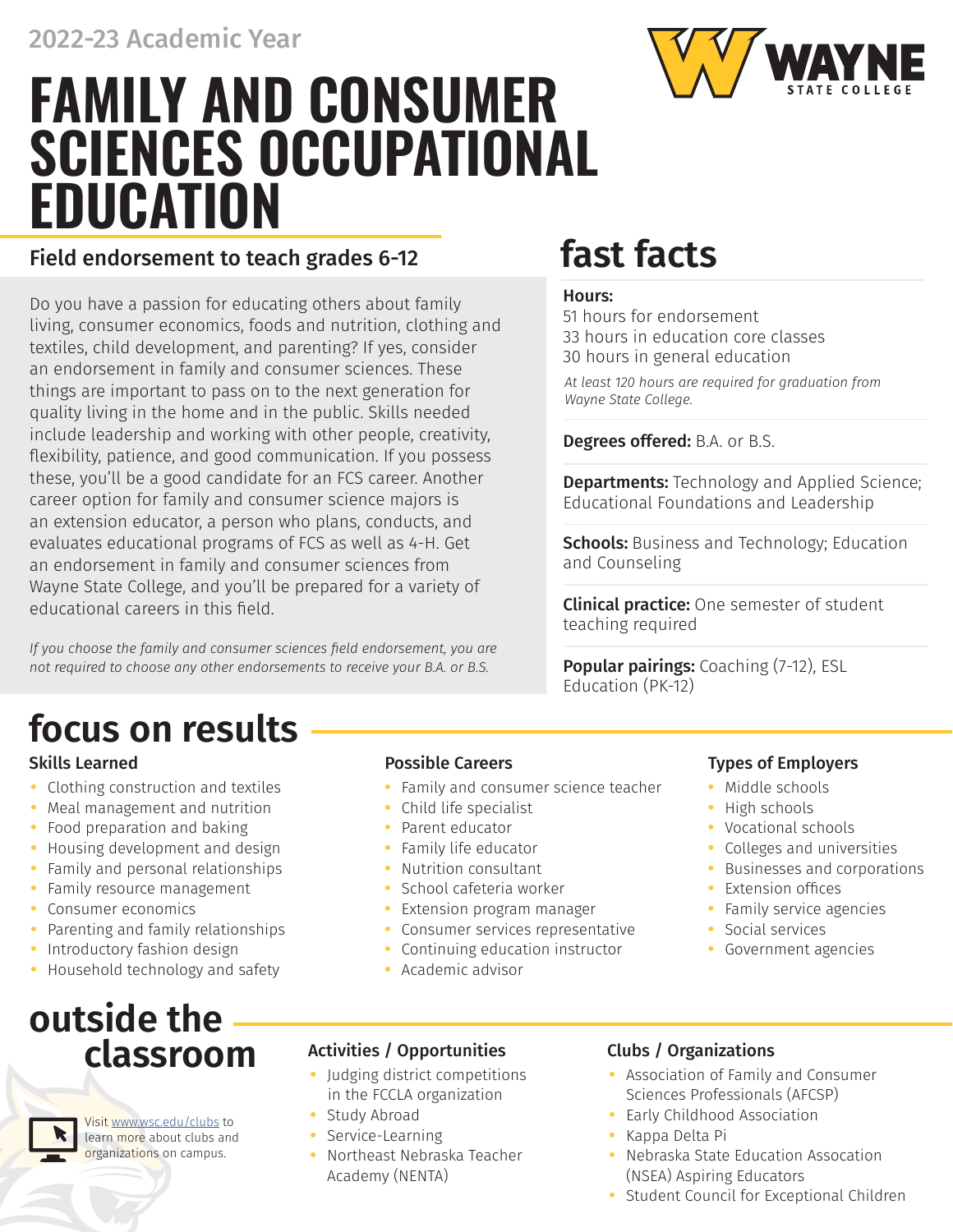# **FAMILY AND CONSUMER SCIENCES OCCUPATIONAL EDUCATION**

## Field endorsement to teach grades 6-12 **fast facts**

Do you have a passion for educating others about family living, consumer economics, foods and nutrition, clothing and textiles, child development, and parenting? If yes, consider an endorsement in family and consumer sciences. These things are important to pass on to the next generation for quality living in the home and in the public. Skills needed include leadership and working with other people, creativity, flexibility, patience, and good communication. If you possess these, you'll be a good candidate for an FCS career. Another career option for family and consumer science majors is an extension educator, a person who plans, conducts, and evaluates educational programs of FCS as well as 4-H. Get an endorsement in family and consumer sciences from Wayne State College, and you'll be prepared for a variety of educational careers in this field.

*If you choose the family and consumer sciences field endorsement, you are not required to choose any other endorsements to receive your B.A. or B.S.*

# **focus on results**

- **•** Clothing construction and textiles
- **•** Meal management and nutrition
- **•** Food preparation and baking
- **•** Housing development and design
- **•** Family and personal relationships
- **•** Family resource management
- **•** Consumer economics
- **•** Parenting and family relationships
- **•** Introductory fashion design
- **•** Household technology and safety

# **outside the classroom**

Visit www.wsc.edu/clubs to learn more about clubs and organizations on campus.

- **•** Family and consumer science teacher
- **•** Child life specialist
- **•** Parent educator
- **•** Family life educator
- **•** Nutrition consultant
- **•** School cafeteria worker
- **•** Extension program manager
- **•** Consumer services representative
- **•** Continuing education instructor
- **•** Academic advisor

### Hours:

51 hours for endorsement 33 hours in education core classes 30 hours in general education

*At least 120 hours are required for graduation from Wayne State College.* 

### Degrees offered: B.A. or B.S.

**Departments:** Technology and Applied Science; Educational Foundations and Leadership

**Schools:** Business and Technology; Education and Counseling

**Clinical practice:** One semester of student teaching required

Popular pairings: Coaching (7-12), ESL Education (PK-12)

### Skills Learned **Possible Careers Possible Careers Possible Careers Possible Careers**

- **•** Middle schools
- **•** High schools
- **•** Vocational schools
- **•** Colleges and universities
- **•** Businesses and corporations
- **•** Extension offices
- **•** Family service agencies
- **•** Social services
- **•** Government agencies
- Activities / Opportunities Clubs / Organizations
- **•** Judging district competitions in the FCCLA organization
- **•** Study Abroad
- **•** Service-Learning
- **•** Northeast Nebraska Teacher Academy (NENTA)

- **•** Association of Family and Consumer Sciences Professionals (AFCSP)
- **•** Early Childhood Association
- **•** Kappa Delta Pi
- **•** Nebraska State Education Assocation (NSEA) Aspiring Educators
- **•** Student Council for Exceptional Children